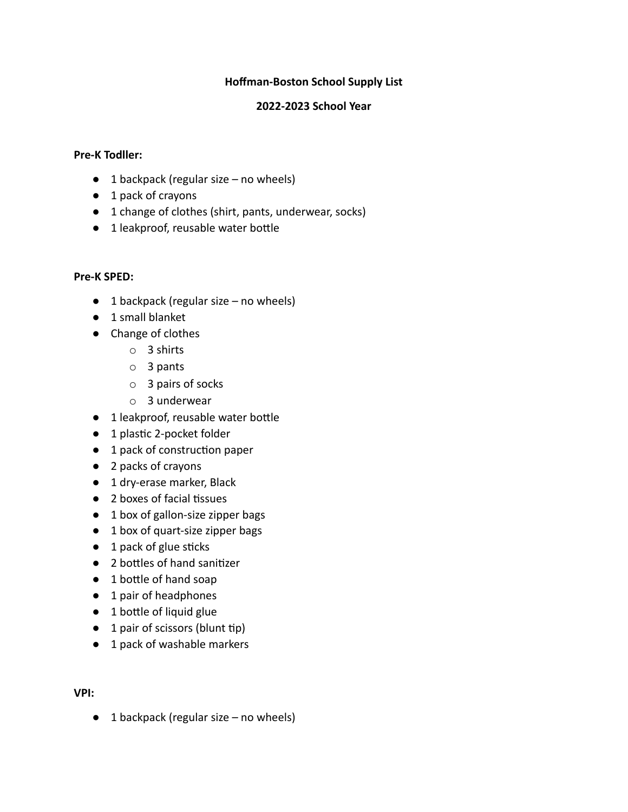### **Hoffman-Boston School Supply List**

### **2022-2023 School Year**

### **Pre-K Todller:**

- $\bullet$  1 backpack (regular size no wheels)
- 1 pack of crayons
- 1 change of clothes (shirt, pants, underwear, socks)
- $\bullet$  1 leakproof, reusable water bottle

### **Pre-K SPED:**

- $\bullet$  1 backpack (regular size no wheels)
- 1 small blanket
- Change of clothes
	- o 3 shirts
	- o 3 pants
	- o 3 pairs of socks
	- o 3 underwear
- $\bullet$  1 leakproof, reusable water bottle
- 1 plastic 2-pocket folder
- 1 pack of construction paper
- 2 packs of crayons
- 1 dry-erase marker, Black
- $\bullet$  2 boxes of facial tissues
- 1 box of gallon-size zipper bags
- 1 box of quart-size zipper bags
- $\bullet$  1 pack of glue sticks
- 2 bottles of hand sanitizer
- $\bullet$  1 bottle of hand soap
- 1 pair of headphones
- $\bullet$  1 bottle of liquid glue
- $\bullet$  1 pair of scissors (blunt tip)
- 1 pack of washable markers

### **VPI:**

 $\bullet$  1 backpack (regular size – no wheels)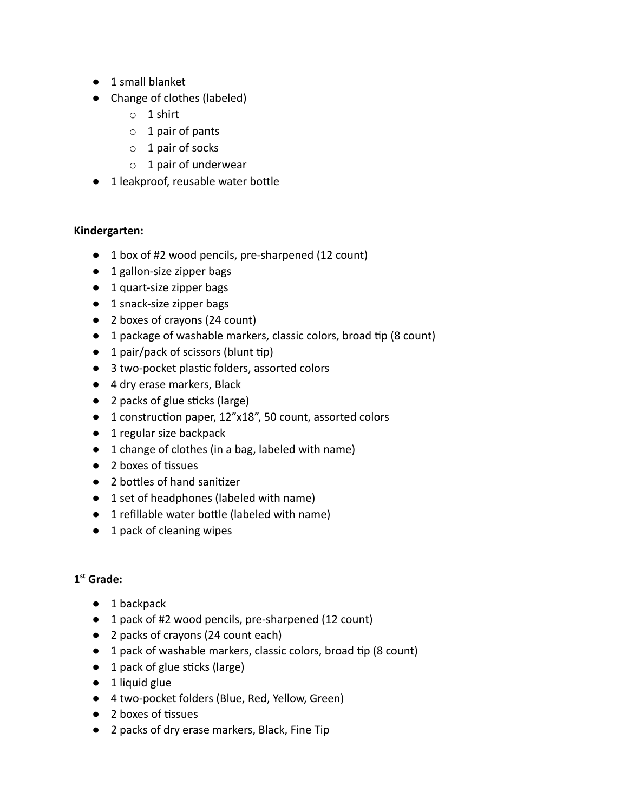- 1 small blanket
- Change of clothes (labeled)
	- o 1 shirt
	- o 1 pair of pants
	- o 1 pair of socks
	- $\circ$  1 pair of underwear
- $\bullet$  1 leakproof, reusable water bottle

# **Kindergarten:**

- 1 box of #2 wood pencils, pre-sharpened (12 count)
- 1 gallon-size zipper bags
- 1 quart-size zipper bags
- 1 snack-size zipper bags
- 2 boxes of crayons (24 count)
- $\bullet$  1 package of washable markers, classic colors, broad tip (8 count)
- $\bullet$  1 pair/pack of scissors (blunt tip)
- 3 two-pocket plastic folders, assorted colors
- 4 dry erase markers, Black
- $\bullet$  2 packs of glue sticks (large)
- 1 construction paper, 12"x18", 50 count, assorted colors
- 1 regular size backpack
- 1 change of clothes (in a bag, labeled with name)
- $\bullet$  2 boxes of tissues
- 2 bottles of hand sanitizer
- 1 set of headphones (labeled with name)
- $\bullet$  1 refillable water bottle (labeled with name)
- 1 pack of cleaning wipes

# **1 st Grade:**

- 1 backpack
- 1 pack of #2 wood pencils, pre-sharpened (12 count)
- 2 packs of crayons (24 count each)
- $\bullet$  1 pack of washable markers, classic colors, broad tip (8 count)
- $\bullet$  1 pack of glue sticks (large)
- $\bullet$  1 liquid glue
- 4 two-pocket folders (Blue, Red, Yellow, Green)
- $\bullet$  2 boxes of tissues
- 2 packs of dry erase markers, Black, Fine Tip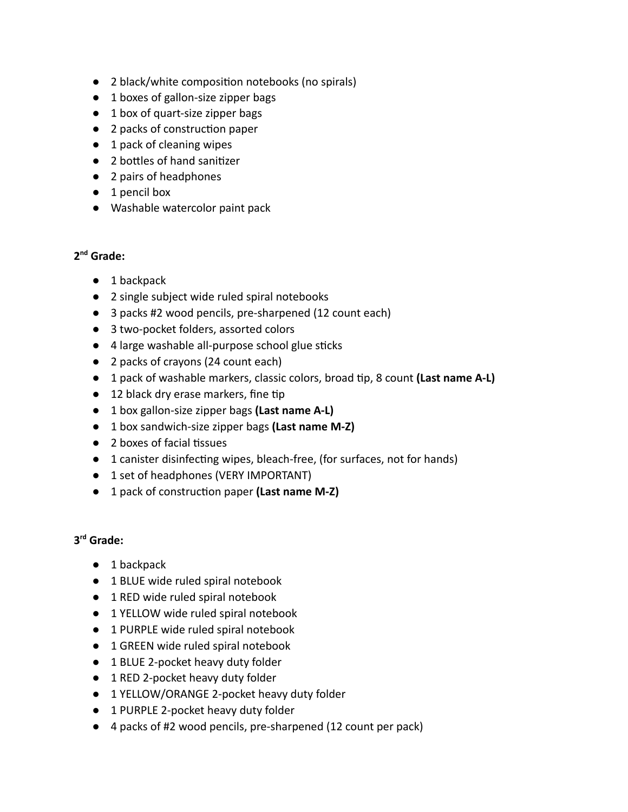- 2 black/white composition notebooks (no spirals)
- 1 boxes of gallon-size zipper bags
- 1 box of quart-size zipper bags
- 2 packs of construction paper
- 1 pack of cleaning wipes
- 2 bottles of hand sanitizer
- 2 pairs of headphones
- 1 pencil box
- Washable watercolor paint pack

# **2 nd Grade:**

- 1 backpack
- 2 single subject wide ruled spiral notebooks
- 3 packs #2 wood pencils, pre-sharpened (12 count each)
- 3 two-pocket folders, assorted colors
- $\bullet$  4 large washable all-purpose school glue sticks
- 2 packs of crayons (24 count each)
- 1 pack of washable markers, classic colors, broad tip, 8 count (Last name A-L)
- $\bullet$  12 black dry erase markers, fine tip
- 1 box gallon-size zipper bags **(Last name A-L)**
- 1 box sandwich-size zipper bags **(Last name M-Z)**
- $\bullet$  2 boxes of facial tissues
- 1 canister disinfecting wipes, bleach-free, (for surfaces, not for hands)
- 1 set of headphones (VERY IMPORTANT)
- 1 pack of construction paper (**Last name M-Z**)

### **3 rd Grade:**

- 1 backpack
- 1 BLUE wide ruled spiral notebook
- 1 RED wide ruled spiral notebook
- 1 YELLOW wide ruled spiral notebook
- 1 PURPLE wide ruled spiral notebook
- 1 GREEN wide ruled spiral notebook
- 1 BLUE 2-pocket heavy duty folder
- 1 RED 2-pocket heavy duty folder
- 1 YELLOW/ORANGE 2-pocket heavy duty folder
- 1 PURPLE 2-pocket heavy duty folder
- 4 packs of #2 wood pencils, pre-sharpened (12 count per pack)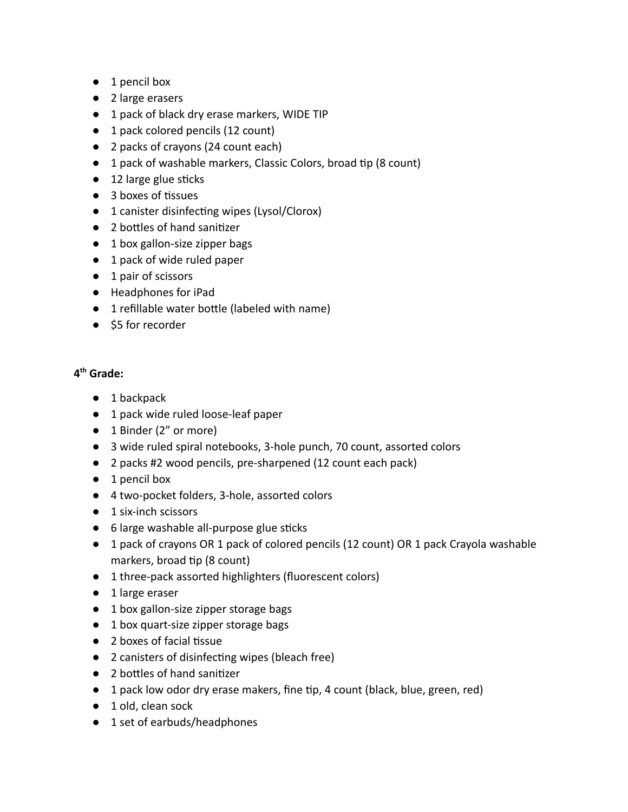- 1 pencil box
- 2 large erasers
- 1 pack of black dry erase markers, WIDE TIP
- 1 pack colored pencils (12 count)
- 2 packs of crayons (24 count each)
- 1 pack of washable markers, Classic Colors, broad tip (8 count)
- $\bullet$  12 large glue sticks
- $\bullet$  3 boxes of tissues
- 1 canister disinfecting wipes (Lysol/Clorox)
- 2 bottles of hand sanitizer
- 1 box gallon-size zipper bags
- 1 pack of wide ruled paper
- 1 pair of scissors
- Headphones for iPad
- $\bullet$  1 refillable water bottle (labeled with name)
- \$5 for recorder

# **4 th Grade:**

- 1 backpack
- 1 pack wide ruled loose-leaf paper
- 1 Binder (2" or more)
- 3 wide ruled spiral notebooks, 3-hole punch, 70 count, assorted colors
- 2 packs #2 wood pencils, pre-sharpened (12 count each pack)
- 1 pencil box
- 4 two-pocket folders, 3-hole, assorted colors
- 1 six-inch scissors
- $\bullet$  6 large washable all-purpose glue sticks
- 1 pack of crayons OR 1 pack of colored pencils (12 count) OR 1 pack Crayola washable markers, broad tip (8 count)
- 1 three-pack assorted highlighters (fluorescent colors)
- 1 large eraser
- 1 box gallon-size zipper storage bags
- 1 box quart-size zipper storage bags
- $\bullet$  2 boxes of facial tissue
- 2 canisters of disinfecting wipes (bleach free)
- 2 bottles of hand sanitizer
- 1 pack low odor dry erase makers, fine tip, 4 count (black, blue, green, red)
- 1 old, clean sock
- 1 set of earbuds/headphones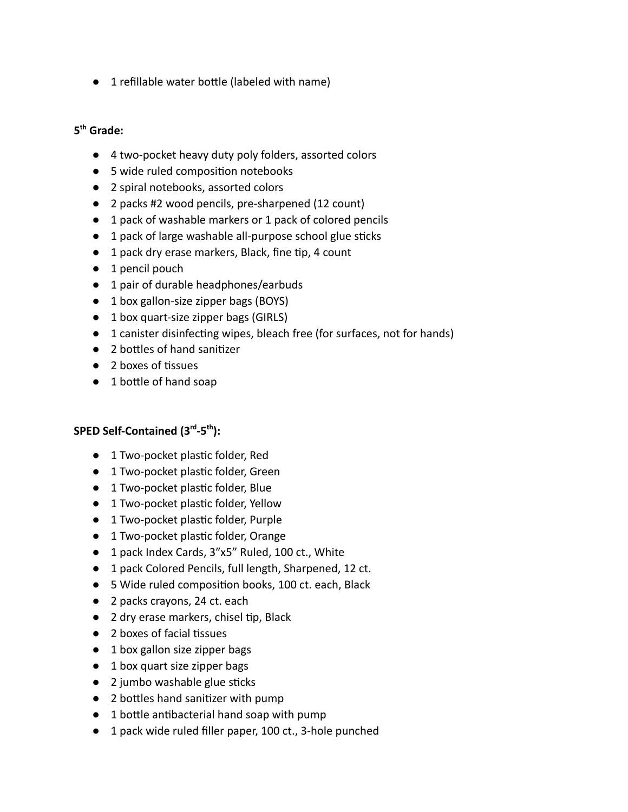$\bullet$  1 refillable water bottle (labeled with name)

# **5 th Grade:**

- 4 two-pocket heavy duty poly folders, assorted colors
- 5 wide ruled composition notebooks
- 2 spiral notebooks, assorted colors
- 2 packs #2 wood pencils, pre-sharpened (12 count)
- 1 pack of washable markers or 1 pack of colored pencils
- 1 pack of large washable all-purpose school glue sticks
- $\bullet$  1 pack dry erase markers, Black, fine tip, 4 count
- 1 pencil pouch
- 1 pair of durable headphones/earbuds
- 1 box gallon-size zipper bags (BOYS)
- 1 box quart-size zipper bags (GIRLS)
- $\bullet$  1 canister disinfecting wipes, bleach free (for surfaces, not for hands)
- 2 bottles of hand sanitizer
- $\bullet$  2 boxes of tissues
- $\bullet$  1 bottle of hand soap

### **SPED Self-Contained (3rd -5th ):**

- 1 Two-pocket plastic folder, Red
- 1 Two-pocket plastic folder, Green
- $\bullet$  1 Two-pocket plastic folder, Blue
- $\bullet$  1 Two-pocket plastic folder, Yellow
- $\bullet$  1 Two-pocket plastic folder, Purple
- 1 Two-pocket plastic folder, Orange
- 1 pack Index Cards, 3"x5" Ruled, 100 ct., White
- 1 pack Colored Pencils, full length, Sharpened, 12 ct.
- 5 Wide ruled composition books, 100 ct. each, Black
- 2 packs crayons, 24 ct. each
- $\bullet$  2 dry erase markers, chisel tip, Black
- $\bullet$  2 boxes of facial tissues
- 1 box gallon size zipper bags
- 1 box quart size zipper bags
- $\bullet$  2 jumbo washable glue sticks
- 2 bottles hand sanitizer with pump
- $\bullet$  1 bottle antibacterial hand soap with pump
- 1 pack wide ruled filler paper, 100 ct., 3-hole punched